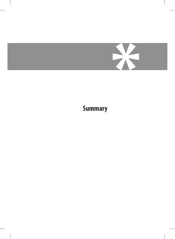

**Summary**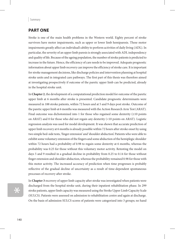#### Summary

## **Part one**

Stroke is one of the main health problems in the Western world. Eighty percent of stroke survivors have motor impairments, such as upper or lower limb hemiparesis. These motor impairments greatly affect an individual's ability to perform activities of daily living (ADL). In particular, the severity of an upper limb paresis is strongly associated with ADL independency and quality of life. Because of the ageing population, the number of stroke patients is predicted to increase in the future. Hence, the efficiency of care needs to be improved. Adequate prognostic information about upper limb recovery can improve the efficiency of stroke care. It is important for stroke management decisions, like discharge policies and intervention planning at hospital stroke units and in integrated care pathways. The first part of this thesis was therefore aimed at investigating prospectively if outcome of the paretic upper limb can be predicted, already in the hospital stroke unit.

In **Chapter 2**, the development of a computational prediction model for outcome of the paretic upper limb at 6 months after stroke is presented. Candidate prognostic determinants were measured in 188 stroke patients, within 72 hours and at 5 and 9 days post stroke. Outcome of the paretic upper limb at 6 months was measured with the Action Research Arm Test (ARAT). Final outcome was dichotomized into 1 for those who regained some dexterity  $(≥10$  points on ARAT) and 0 for those who did not regain any dexterity (<10 points on ARAT). Logistic regression analysis was used for model development. It was shown that accurate prediction of upper limb recovery at 6 months is already possible within 72 hours after stroke onset by using two simple bed-side tests, 'finger extension' and 'shoulder abduction'. Patients who were able to exhibit some voluntary extension of the fingers and some abduction of the hemiplegic shoulder within 72 hours had a probability of 0.98 to regain some dexterity at 6 months, whereas the probability was 0.25 for those without this voluntary motor activity. Retesting the model on days 5 and 9 resulted in a gradual decline in probability from 0.25 to 0.14 for those without finger extension and shoulder abduction, whereas the probability remained 0.98 for those with this motor activity. The increased accuracy of prediction when time progresses is probably reflective of the gradual decline of uncertainty as a result of time-dependent spontaneous processes of recovery after stroke.

# \*

In **Chapter 3** recovery of upper limb capacity after stroke was investigated when patients were discharged from the hospital stroke unit, during their inpatient rehabilitation phase. In 299 stroke patients, upper limb capacity was measured using the Stroke Upper Limb Capacity Scale (SULCS). Patients were assessed on admission to rehabilitation centre and again at discharge. On the basis of admission SULCS scores of patients were categorized into 3 groups; no hand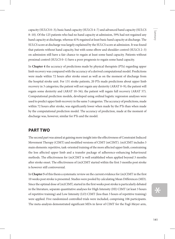capacity (SULCS 0–3); basic hand capacity (SULCS 4–7) and advanced hand capacity (SULCS 8–10). Of the 125 patients who had no hand capacity at admission, 59% had not regained any hand capacity at discharge, whereas 41% regained at least basic hand capacity at discharge. The SULCS score at discharge was largely explained by the SULCS score at admission. It was found that patients without hand capacity, but with some elbow and shoulder control (SULCS 2–3) on admission still have a fair chance to regain at least some hand capacity. Patients without proximal control (SULCS 0–1) have a poor prognosis to regain some hand capacity.

In **Chapter 4** the accuracy of predictions made by physical therapists (PTs) regarding upper limb recovery was compared with the accuracy of a derived computational model. Predictions were made within 72 hours after stroke onset as well as on the moment of discharge from the hospital stroke unit. For 131 stroke patients, 20 PTs made predictions about upper limb recovery in 3 categories; the patient will not regain any dexterity (ARAT 0–9); the patient will regain some dexterity and (ARAT 10–56); the patient will regain full recovery (ARAT 57). Computational prediction models, developed using ordinal logistic regression analyses were used to predict upper limb recovery in the same 3 categories. The accuracy of predictions, made within 72 hours after stroke, was significantly lower when made by the PTs than when made by the computational prediction model. The accuracy of prediction, made at the moment of discharge was, however, similar for PTs and the model.

### **Part two**

The second part was aimed at gaining more insight into the effectiveness of Constraint Induced Movement Therapy (CIMT) and modified versions of CIMT (mCIMT). (m)CIMT includes 3 main elements: repetitive, task-oriented training of the more affected upper limb, constraining the less affected upper limb and a transfer package of adherence-enhancing behavioural methods. The effectiveness for (m)CIMT is well established when applied beyond 3 months after stroke onset. The effectiveness of (m)CIMT started within the first 3 months post stroke is however still controversial.

In **Chapter 5** of this thesis a systematic review on the current evidence for (m)CIMT in the first 10 weeks post stroke is presented. Studies were pooled by calculating Mean Differences (MD). Since the optimal dose of (m)CIMT, started in the first weeks post stroke is particularly debated in the literature, separate quantitative analyses for High Intensity (HI) CIMT (at least 3 hours of repetitive training) and Low Intensity (LO) CIMT (less than 3 hours of repetitive training) were applied. Five randomized controlled trials were included, comprising 106 participants. The meta-analysis demonstrated significant MDs in favor of CIMT for the Fugl-Meyer arm,